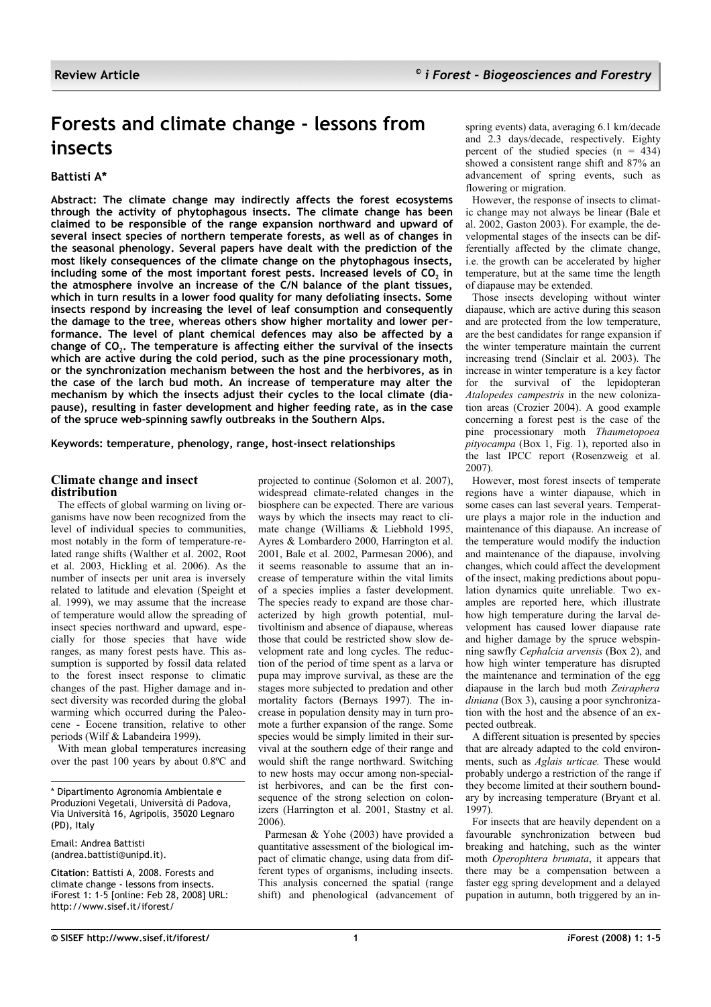# **Forests and climate change - lessons from insects**

# **Battisti A\***

**Abstract: The climate change may indirectly affects the forest ecosystems through the activity of phytophagous insects. The climate change has been claimed to be responsible of the range expansion northward and upward of several insect species of northern temperate forests, as well as of changes in the seasonal phenology. Several papers have dealt with the prediction of the most likely consequences of the climate change on the phytophagous insects, including some of the most important forest pests. Increased levels of CO<sup>2</sup> in the atmosphere involve an increase of the C/N balance of the plant tissues, which in turn results in a lower food quality for many defoliating insects. Some insects respond by increasing the level of leaf consumption and consequently the damage to the tree, whereas others show higher mortality and lower performance. The level of plant chemical defences may also be affected by a change of CO<sup>2</sup> . The temperature is affecting either the survival of the insects which are active during the cold period, such as the pine processionary moth, or the synchronization mechanism between the host and the herbivores, as in the case of the larch bud moth. An increase of temperature may alter the mechanism by which the insects adjust their cycles to the local climate (diapause), resulting in faster development and higher feeding rate, as in the case of the spruce web-spinning sawfly outbreaks in the Southern Alps.**

**Keywords: temperature, phenology, range, host-insect relationships**

#### **Climate change and insect distribution**

The effects of global warming on living organisms have now been recognized from the level of individual species to communities, most notably in the form of temperature-related range shifts (Walther et al. 2002, Root et al. 2003, Hickling et al. 2006). As the number of insects per unit area is inversely related to latitude and elevation (Speight et al. 1999), we may assume that the increase of temperature would allow the spreading of insect species northward and upward, especially for those species that have wide ranges, as many forest pests have. This assumption is supported by fossil data related to the forest insect response to climatic changes of the past. Higher damage and insect diversity was recorded during the global warming which occurred during the Paleocene - Eocene transition, relative to other periods (Wilf & Labandeira 1999).

With mean global temperatures increasing over the past 100 years by about 0.8ºC and

\* Dipartimento Agronomia Ambientale e Produzioni Vegetali, Università di Padova, Via Università 16, Agripolis, 35020 Legnaro (PD), Italy

Email: Andrea Battisti (andrea.battisti@unipd.it).

**Citation**: Battisti A, 2008. Forests and climate change - lessons from insects. iForest 1: 1-5 [online: Feb 28, 2008] URL: http://www.sisef.it/iforest/

projected to continue (Solomon et al. 2007), widespread climate-related changes in the biosphere can be expected. There are various ways by which the insects may react to climate change (Williams & Liebhold 1995, Ayres & Lombardero 2000, Harrington et al. 2001, Bale et al. 2002, Parmesan 2006), and it seems reasonable to assume that an increase of temperature within the vital limits of a species implies a faster development. The species ready to expand are those characterized by high growth potential, multivoltinism and absence of diapause, whereas those that could be restricted show slow development rate and long cycles. The reduction of the period of time spent as a larva or pupa may improve survival, as these are the stages more subjected to predation and other mortality factors (Bernays 1997). The increase in population density may in turn promote a further expansion of the range. Some species would be simply limited in their survival at the southern edge of their range and would shift the range northward. Switching to new hosts may occur among non-specialist herbivores, and can be the first consequence of the strong selection on colonizers (Harrington et al. 2001, Stastny et al. 2006).

Parmesan & Yohe (2003) have provided a quantitative assessment of the biological impact of climatic change, using data from different types of organisms, including insects. This analysis concerned the spatial (range shift) and phenological (advancement of spring events) data, averaging 6.1 km/decade and 2.3 days/decade, respectively. Eighty percent of the studied species  $(n = 434)$ showed a consistent range shift and 87% an advancement of spring events, such as flowering or migration.

However, the response of insects to climatic change may not always be linear (Bale et al. 2002, Gaston 2003). For example, the developmental stages of the insects can be differentially affected by the climate change, i.e. the growth can be accelerated by higher temperature, but at the same time the length of diapause may be extended.

Those insects developing without winter diapause, which are active during this season and are protected from the low temperature, are the best candidates for range expansion if the winter temperature maintain the current increasing trend (Sinclair et al. 2003). The increase in winter temperature is a key factor for the survival of the lepidopteran *Atalopedes campestris* in the new colonization areas (Crozier 2004). A good example concerning a forest pest is the case of the pine processionary moth *Thaumetopoea pityocampa* [\(Box](#page-1-1) 1, [Fig.](#page-1-0) 1), reported also in the last IPCC report (Rosenzweig et al. 2007).

However, most forest insects of temperate regions have a winter diapause, which in some cases can last several years. Temperature plays a major role in the induction and maintenance of this diapause. An increase of the temperature would modify the induction and maintenance of the diapause, involving changes, which could affect the development of the insect, making predictions about population dynamics quite unreliable. Two examples are reported here, which illustrate how high temperature during the larval development has caused lower diapause rate and higher damage by the spruce webspinning sawfly *Cephalcia arvensis* [\(Box](#page-2-0) 2), and how high winter temperature has disrupted the maintenance and termination of the egg diapause in the larch bud moth *Zeiraphera diniana* [\(Box](#page-3-0) 3), causing a poor synchronization with the host and the absence of an expected outbreak.

A different situation is presented by species that are already adapted to the cold environments, such as *Aglais urticae.* These would probably undergo a restriction of the range if they become limited at their southern boundary by increasing temperature (Bryant et al. 1997).

For insects that are heavily dependent on a favourable synchronization between bud breaking and hatching, such as the winter moth *Operophtera brumata*, it appears that there may be a compensation between a faster egg spring development and a delayed pupation in autumn, both triggered by an in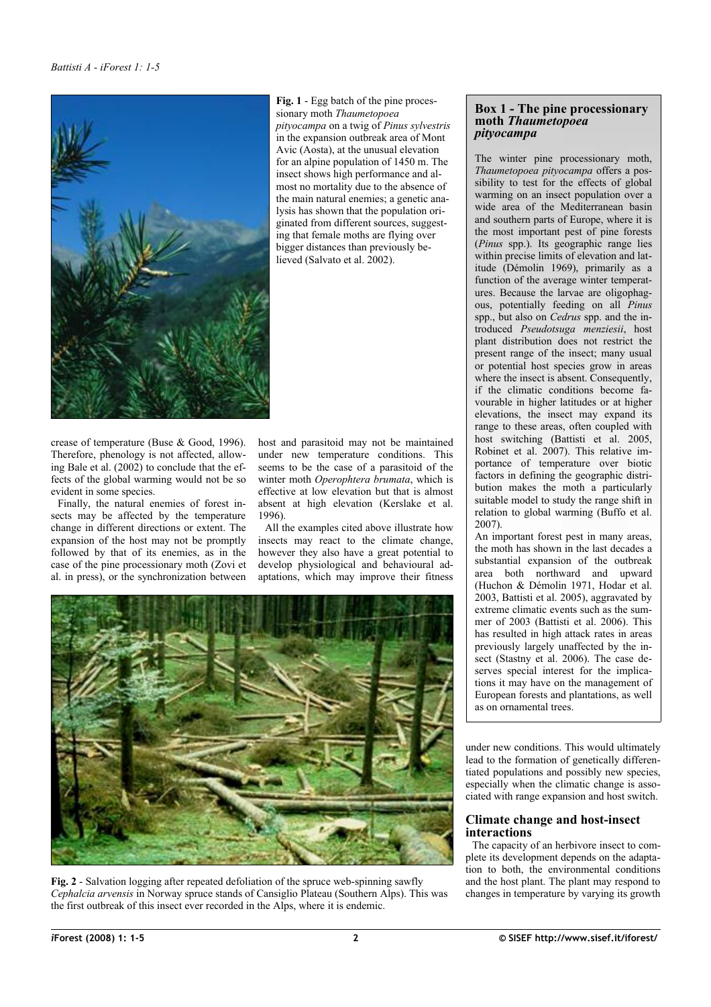

<span id="page-1-0"></span>**Fig. 1** - Egg batch of the pine processionary moth *Thaumetopoea pityocampa* on a twig of *Pinus sylvestris* in the expansion outbreak area of Mont Avic (Aosta), at the unusual elevation for an alpine population of 1450 m. The insect shows high performance and almost no mortality due to the absence of the main natural enemies; a genetic analysis has shown that the population originated from different sources, suggesting that female moths are flying over bigger distances than previously believed (Salvato et al. 2002).

crease of temperature (Buse & Good, 1996). Therefore, phenology is not affected, allowing Bale et al. (2002) to conclude that the effects of the global warming would not be so evident in some species.

Finally, the natural enemies of forest insects may be affected by the temperature change in different directions or extent. The expansion of the host may not be promptly followed by that of its enemies, as in the case of the pine processionary moth (Zovi et al. in press), or the synchronization between

host and parasitoid may not be maintained under new temperature conditions. This seems to be the case of a parasitoid of the winter moth *Operophtera brumata*, which is effective at low elevation but that is almost absent at high elevation (Kerslake et al. 1996).

All the examples cited above illustrate how insects may react to the climate change, however they also have a great potential to develop physiological and behavioural adaptations, which may improve their fitness

<span id="page-1-2"></span>

**Fig. 2** - Salvation logging after repeated defoliation of the spruce web-spinning sawfly *Cephalcia arvensis* in Norway spruce stands of Cansiglio Plateau (Southern Alps). This was the first outbreak of this insect ever recorded in the Alps, where it is endemic.

### <span id="page-1-1"></span>**Box 1 - The pine processionary moth** *Thaumetopoea pityocampa*

The winter pine processionary moth, *Thaumetopoea pityocampa* offers a possibility to test for the effects of global warming on an insect population over a wide area of the Mediterranean basin and southern parts of Europe, where it is the most important pest of pine forests (*Pinus* spp.). Its geographic range lies within precise limits of elevation and latitude (Démolin 1969), primarily as a function of the average winter temperatures. Because the larvae are oligophagous, potentially feeding on all *Pinus* spp., but also on *Cedrus* spp. and the introduced *Pseudotsuga menziesii*, host plant distribution does not restrict the present range of the insect; many usual or potential host species grow in areas where the insect is absent. Consequently, if the climatic conditions become favourable in higher latitudes or at higher elevations, the insect may expand its range to these areas, often coupled with host switching (Battisti et al. 2005, Robinet et al. 2007). This relative importance of temperature over biotic factors in defining the geographic distribution makes the moth a particularly suitable model to study the range shift in relation to global warming (Buffo et al. 2007).

An important forest pest in many areas, the moth has shown in the last decades a substantial expansion of the outbreak area both northward and upward (Huchon & Démolin 1971, Hodar et al. 2003, Battisti et al. 2005), aggravated by extreme climatic events such as the summer of 2003 (Battisti et al. 2006). This has resulted in high attack rates in areas previously largely unaffected by the insect (Stastny et al. 2006). The case deserves special interest for the implications it may have on the management of European forests and plantations, as well as on ornamental trees.

under new conditions. This would ultimately lead to the formation of genetically differentiated populations and possibly new species, especially when the climatic change is associated with range expansion and host switch.

#### **Climate change and host-insect interactions**

The capacity of an herbivore insect to complete its development depends on the adaptation to both, the environmental conditions and the host plant. The plant may respond to changes in temperature by varying its growth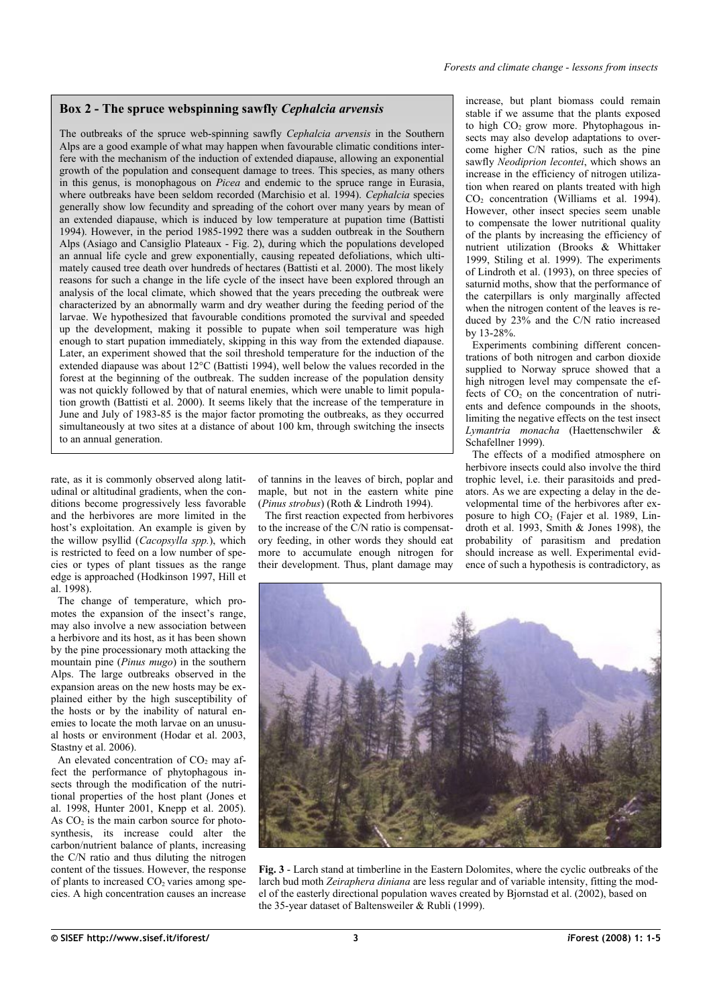#### <span id="page-2-0"></span>**Box 2 - The spruce webspinning sawfly** *Cephalcia arvensis*

The outbreaks of the spruce web-spinning sawfly *Cephalcia arvensis* in the Southern Alps are a good example of what may happen when favourable climatic conditions interfere with the mechanism of the induction of extended diapause, allowing an exponential growth of the population and consequent damage to trees. This species, as many others in this genus, is monophagous on *Picea* and endemic to the spruce range in Eurasia, where outbreaks have been seldom recorded (Marchisio et al. 1994). *Cephalcia* species generally show low fecundity and spreading of the cohort over many years by mean of an extended diapause, which is induced by low temperature at pupation time (Battisti 1994). However, in the period 1985-1992 there was a sudden outbreak in the Southern Alps (Asiago and Cansiglio Plateaux - [Fig.](#page-1-2) 2), during which the populations developed an annual life cycle and grew exponentially, causing repeated defoliations, which ultimately caused tree death over hundreds of hectares (Battisti et al. 2000). The most likely reasons for such a change in the life cycle of the insect have been explored through an analysis of the local climate, which showed that the years preceding the outbreak were characterized by an abnormally warm and dry weather during the feeding period of the larvae. We hypothesized that favourable conditions promoted the survival and speeded up the development, making it possible to pupate when soil temperature was high enough to start pupation immediately, skipping in this way from the extended diapause. Later, an experiment showed that the soil threshold temperature for the induction of the extended diapause was about 12°C (Battisti 1994), well below the values recorded in the forest at the beginning of the outbreak. The sudden increase of the population density was not quickly followed by that of natural enemies, which were unable to limit population growth (Battisti et al. 2000). It seems likely that the increase of the temperature in June and July of 1983-85 is the major factor promoting the outbreaks, as they occurred simultaneously at two sites at a distance of about 100 km, through switching the insects to an annual generation.

rate, as it is commonly observed along latitudinal or altitudinal gradients, when the conditions become progressively less favorable and the herbivores are more limited in the host's exploitation. An example is given by the willow psyllid (*Cacopsylla spp.*), which is restricted to feed on a low number of species or types of plant tissues as the range edge is approached (Hodkinson 1997, Hill et al. 1998).

The change of temperature, which promotes the expansion of the insect's range, may also involve a new association between a herbivore and its host, as it has been shown by the pine processionary moth attacking the mountain pine (*Pinus mugo*) in the southern Alps. The large outbreaks observed in the expansion areas on the new hosts may be explained either by the high susceptibility of the hosts or by the inability of natural enemies to locate the moth larvae on an unusual hosts or environment (Hodar et al. 2003, Stastny et al. 2006).

An elevated concentration of  $CO<sub>2</sub>$  may affect the performance of phytophagous insects through the modification of the nutritional properties of the host plant (Jones et al. 1998, Hunter 2001, Knepp et al. 2005). As  $CO<sub>2</sub>$  is the main carbon source for photosynthesis, its increase could alter the carbon/nutrient balance of plants, increasing the C/N ratio and thus diluting the nitrogen content of the tissues. However, the response of plants to increased  $CO<sub>2</sub>$  varies among species. A high concentration causes an increase

of tannins in the leaves of birch, poplar and maple, but not in the eastern white pine (*Pinus strobus*) (Roth & Lindroth 1994).

The first reaction expected from herbivores to the increase of the C/N ratio is compensatory feeding, in other words they should eat more to accumulate enough nitrogen for their development. Thus, plant damage may increase, but plant biomass could remain stable if we assume that the plants exposed to high  $CO<sub>2</sub>$  grow more. Phytophagous insects may also develop adaptations to overcome higher C/N ratios, such as the pine sawfly *Neodiprion lecontei*, which shows an increase in the efficiency of nitrogen utilization when reared on plants treated with high CO<sup>2</sup> concentration (Williams et al. 1994). However, other insect species seem unable to compensate the lower nutritional quality of the plants by increasing the efficiency of nutrient utilization (Brooks & Whittaker 1999, Stiling et al. 1999). The experiments of Lindroth et al. (1993), on three species of saturnid moths, show that the performance of the caterpillars is only marginally affected when the nitrogen content of the leaves is reduced by 23% and the C/N ratio increased by 13-28%.

Experiments combining different concentrations of both nitrogen and carbon dioxide supplied to Norway spruce showed that a high nitrogen level may compensate the effects of  $CO<sub>2</sub>$  on the concentration of nutrients and defence compounds in the shoots, limiting the negative effects on the test insect *Lymantria monacha* (Haettenschwiler & Schafellner 1999).

The effects of a modified atmosphere on herbivore insects could also involve the third trophic level, i.e. their parasitoids and predators. As we are expecting a delay in the developmental time of the herbivores after exposure to high  $CO<sub>2</sub>$  (Fajer et al. 1989, Lindroth et al. 1993, Smith & Jones 1998), the probability of parasitism and predation should increase as well. Experimental evidence of such a hypothesis is contradictory, as



**Fig. 3** - Larch stand at timberline in the Eastern Dolomites, where the cyclic outbreaks of the larch bud moth *Zeiraphera diniana* are less regular and of variable intensity, fitting the model of the easterly directional population waves created by Bjornstad et al. (2002), based on the 35-year dataset of Baltensweiler & Rubli (1999).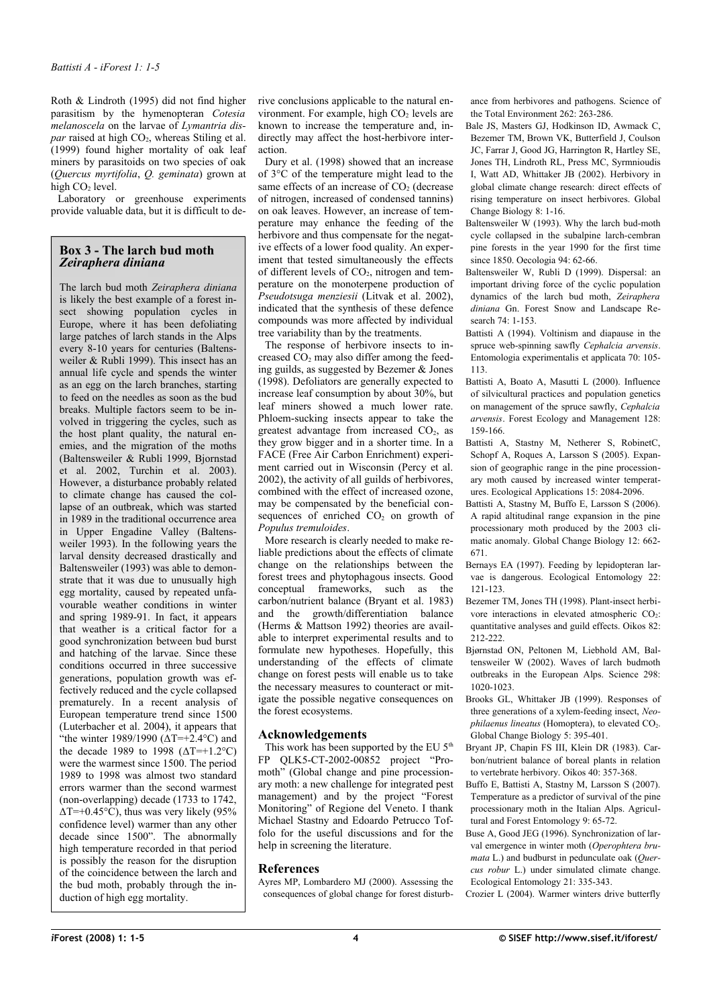Roth & Lindroth (1995) did not find higher parasitism by the hymenopteran *Cotesia melanoscela* on the larvae of *Lymantria dispar* raised at high CO<sub>2</sub>, whereas Stiling et al. (1999) found higher mortality of oak leaf miners by parasitoids on two species of oak (*Quercus myrtifolia*, *Q. geminata*) grown at high  $CO<sub>2</sub>$  level.

Laboratory or greenhouse experiments provide valuable data, but it is difficult to de-

#### <span id="page-3-0"></span>**Box 3 - The larch bud moth** *Zeiraphera diniana*

The larch bud moth *Zeiraphera diniana* is likely the best example of a forest insect showing population cycles in Europe, where it has been defoliating large patches of larch stands in the Alps every 8-10 years for centuries (Baltensweiler & Rubli 1999). This insect has an annual life cycle and spends the winter as an egg on the larch branches, starting to feed on the needles as soon as the bud breaks. Multiple factors seem to be involved in triggering the cycles, such as the host plant quality, the natural enemies, and the migration of the moths (Baltensweiler & Rubli 1999, Bjornstad et al. 2002, Turchin et al. 2003). However, a disturbance probably related to climate change has caused the collapse of an outbreak, which was started in 1989 in the traditional occurrence area in Upper Engadine Valley (Baltensweiler 1993). In the following years the larval density decreased drastically and Baltensweiler (1993) was able to demonstrate that it was due to unusually high egg mortality, caused by repeated unfavourable weather conditions in winter and spring 1989-91. In fact, it appears that weather is a critical factor for a good synchronization between bud burst and hatching of the larvae. Since these conditions occurred in three successive generations, population growth was effectively reduced and the cycle collapsed prematurely. In a recent analysis of European temperature trend since 1500 (Luterbacher et al. 2004), it appears that "the winter 1989/1990 ( $\Delta T = +2.4$ °C) and the decade 1989 to 1998  $(\Delta T=+1.2^{\circ}\text{C})$ were the warmest since 1500. The period 1989 to 1998 was almost two standard errors warmer than the second warmest (non-overlapping) decade (1733 to 1742,  $\Delta T = +0.45^{\circ}$ C), thus was very likely (95% confidence level) warmer than any other decade since 1500". The abnormally high temperature recorded in that period is possibly the reason for the disruption of the coincidence between the larch and the bud moth, probably through the induction of high egg mortality.

rive conclusions applicable to the natural environment. For example, high  $CO<sub>2</sub>$  levels are known to increase the temperature and, indirectly may affect the host-herbivore interaction.

Dury et al. (1998) showed that an increase of 3°C of the temperature might lead to the same effects of an increase of  $CO<sub>2</sub>$  (decrease of nitrogen, increased of condensed tannins) on oak leaves. However, an increase of temperature may enhance the feeding of the herbivore and thus compensate for the negative effects of a lower food quality. An experiment that tested simultaneously the effects of different levels of  $CO<sub>2</sub>$ , nitrogen and temperature on the monoterpene production of *Pseudotsuga menziesii* (Litvak et al. 2002), indicated that the synthesis of these defence compounds was more affected by individual tree variability than by the treatments.

The response of herbivore insects to increased  $CO<sub>2</sub>$  may also differ among the feeding guilds, as suggested by Bezemer & Jones (1998). Defoliators are generally expected to increase leaf consumption by about 30%, but leaf miners showed a much lower rate. Phloem-sucking insects appear to take the greatest advantage from increased  $CO<sub>2</sub>$  as they grow bigger and in a shorter time. In a FACE (Free Air Carbon Enrichment) experiment carried out in Wisconsin (Percy et al. 2002), the activity of all guilds of herbivores, combined with the effect of increased ozone, may be compensated by the beneficial consequences of enriched  $CO<sub>2</sub>$  on growth of *Populus tremuloides*.

More research is clearly needed to make reliable predictions about the effects of climate change on the relationships between the forest trees and phytophagous insects. Good conceptual frameworks, such as the carbon/nutrient balance (Bryant et al. 1983) and the growth/differentiation balance (Herms & Mattson 1992) theories are available to interpret experimental results and to formulate new hypotheses. Hopefully, this understanding of the effects of climate change on forest pests will enable us to take the necessary measures to counteract or mitigate the possible negative consequences on the forest ecosystems.

# **Acknowledgements**

This work has been supported by the EU 5<sup>th</sup> FP QLK5-CT-2002-00852 project "Promoth" (Global change and pine processionary moth: a new challenge for integrated pest management) and by the project "Forest Monitoring" of Regione del Veneto. I thank Michael Stastny and Edoardo Petrucco Toffolo for the useful discussions and for the help in screening the literature.

# **References**

Ayres MP, Lombardero MJ (2000). Assessing the consequences of global change for forest disturb-

ance from herbivores and pathogens. Science of the Total Environment 262: 263-286.

- Bale JS, Masters GJ, Hodkinson ID, Awmack C, Bezemer TM, Brown VK, Butterfield J, Coulson JC, Farrar J, Good JG, Harrington R, Hartley SE, Jones TH, Lindroth RL, Press MC, Syrmnioudis I, Watt AD, Whittaker JB (2002). Herbivory in global climate change research: direct effects of rising temperature on insect herbivores. Global Change Biology 8: 1-16.
- Baltensweiler W (1993). Why the larch bud-moth cycle collapsed in the subalpine larch-cembran pine forests in the year 1990 for the first time since 1850. Oecologia 94: 62-66.
- Baltensweiler W, Rubli D (1999). Dispersal: an important driving force of the cyclic population dynamics of the larch bud moth, *Zeiraphera diniana* Gn. Forest Snow and Landscape Research 74: 1-153.
- Battisti A (1994). Voltinism and diapause in the spruce web-spinning sawfly *Cephalcia arvensis*. Entomologia experimentalis et applicata 70: 105- 113.
- Battisti A, Boato A, Masutti L (2000). Influence of silvicultural practices and population genetics on management of the spruce sawfly, *Cephalcia arvensis*. Forest Ecology and Management 128: 159-166.
- Battisti A, Stastny M, Netherer S, RobinetC, Schopf A, Roques A, Larsson S (2005). Expansion of geographic range in the pine processionary moth caused by increased winter temperatures. Ecological Applications 15: 2084-2096.
- Battisti A, Stastny M, Buffo E, Larsson S (2006). A rapid altitudinal range expansion in the pine processionary moth produced by the 2003 climatic anomaly. Global Change Biology 12: 662- 671.
- Bernays EA (1997). Feeding by lepidopteran larvae is dangerous. Ecological Entomology 22: 121-123.
- Bezemer TM, Jones TH (1998). Plant-insect herbivore interactions in elevated atmospheric CO<sub>2</sub>: quantitative analyses and guild effects. Oikos 82: 212-222.
- Bjørnstad ON, Peltonen M, Liebhold AM, Baltensweiler W (2002). Waves of larch budmoth outbreaks in the European Alps. Science 298: 1020-1023.
- Brooks GL, Whittaker JB (1999). Responses of three generations of a xylem-feeding insect, *Neophilaenus lineatus* (Homoptera), to elevated CO<sub>2</sub>. Global Change Biology 5: 395-401.
- Bryant JP, Chapin FS III, Klein DR (1983). Carbon/nutrient balance of boreal plants in relation to vertebrate herbivory. Oikos 40: 357-368.
- Buffo E, Battisti A, Stastny M, Larsson S (2007). Temperature as a predictor of survival of the pine processionary moth in the Italian Alps. Agricultural and Forest Entomology 9: 65-72.
- Buse A, Good JEG (1996). Synchronization of larval emergence in winter moth (*Operophtera brumata* L.) and budburst in pedunculate oak (*Quercus robur* L.) under simulated climate change. Ecological Entomology 21: 335-343.

Crozier L (2004). Warmer winters drive butterfly